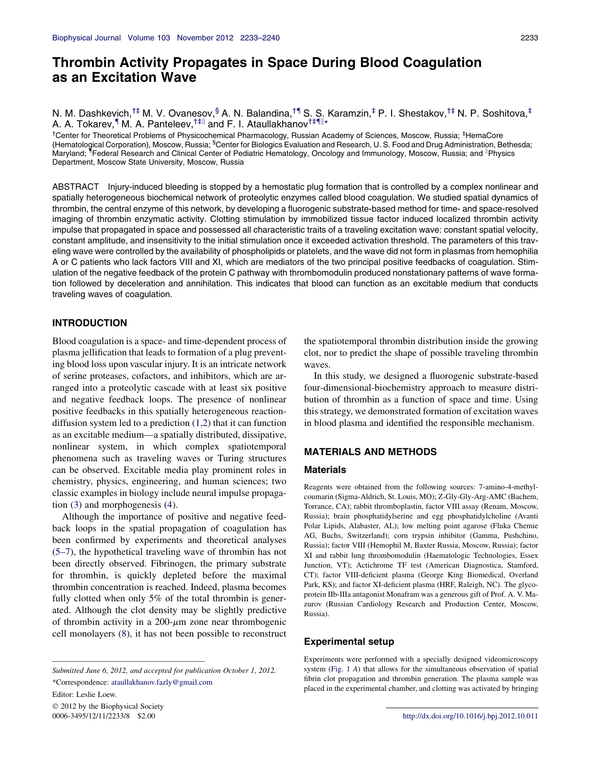# Thrombin Activity Propagates in Space During Blood Coagulation as an Excitation Wave

N. M. Dashkevich,<sup>†‡</sup> M. V. Ovanesov, § A. N. Balandina,<sup>†¶</sup> S. S. Karamzin,<sup>‡</sup> P. I. Shestakov,<sup>†‡</sup> N. P. Soshitova,<sup>‡</sup> A. A. Tokarev,  $\nabla$  M. A. Panteleev,  $\frac{1}{k}$  and F. I. Ataullakhanov $\frac{1}{k}$ 

† Center for Theoretical Problems of Physicochemical Pharmacology, Russian Academy of Sciences, Moscow, Russia; ‡ HemaCore (Hematological Corporation), Moscow, Russia; <sup>§</sup>Center for Biologics Evaluation and Research, U. S. Food and Drug Administration, Bethesda; Maryland; "Federal Research and Clinical Center of Pediatric Hematology, Oncology and Immunology, Moscow, Russia; and "Physics Department, Moscow State University, Moscow, Russia

ABSTRACT Injury-induced bleeding is stopped by a hemostatic plug formation that is controlled by a complex nonlinear and spatially heterogeneous biochemical network of proteolytic enzymes called blood coagulation. We studied spatial dynamics of thrombin, the central enzyme of this network, by developing a fluorogenic substrate-based method for time- and space-resolved imaging of thrombin enzymatic activity. Clotting stimulation by immobilized tissue factor induced localized thrombin activity impulse that propagated in space and possessed all characteristic traits of a traveling excitation wave: constant spatial velocity, constant amplitude, and insensitivity to the initial stimulation once it exceeded activation threshold. The parameters of this traveling wave were controlled by the availability of phospholipids or platelets, and the wave did not form in plasmas from hemophilia A or C patients who lack factors VIII and XI, which are mediators of the two principal positive feedbacks of coagulation. Stimulation of the negative feedback of the protein C pathway with thrombomodulin produced nonstationary patterns of wave formation followed by deceleration and annihilation. This indicates that blood can function as an excitable medium that conducts traveling waves of coagulation.

### INTRODUCTION

Blood coagulation is a space- and time-dependent process of plasma jellification that leads to formation of a plug preventing blood loss upon vascular injury. It is an intricate network of serine proteases, cofactors, and inhibitors, which are arranged into a proteolytic cascade with at least six positive and negative feedback loops. The presence of nonlinear positive feedbacks in this spatially heterogeneous reactiondiffusion system led to a prediction [\(1,2\)](#page-6-0) that it can function as an excitable medium—a spatially distributed, dissipative, nonlinear system, in which complex spatiotemporal phenomena such as traveling waves or Turing structures can be observed. Excitable media play prominent roles in chemistry, physics, engineering, and human sciences; two classic examples in biology include neural impulse propagation [\(3](#page-6-0)) and morphogenesis ([4\)](#page-6-0).

Although the importance of positive and negative feedback loops in the spatial propagation of coagulation has been confirmed by experiments and theoretical analyses ([5–7\)](#page-6-0), the hypothetical traveling wave of thrombin has not been directly observed. Fibrinogen, the primary substrate for thrombin, is quickly depleted before the maximal thrombin concentration is reached. Indeed, plasma becomes fully clotted when only 5% of the total thrombin is generated. Although the clot density may be slightly predictive of thrombin activity in a  $200-\mu m$  zone near thrombogenic cell monolayers [\(8](#page-6-0)), it has not been possible to reconstruct

Editor: Leslie Loew.

2012 by the Biophysical Society

the spatiotemporal thrombin distribution inside the growing clot, nor to predict the shape of possible traveling thrombin waves.

In this study, we designed a fluorogenic substrate-based four-dimensional-biochemistry approach to measure distribution of thrombin as a function of space and time. Using this strategy, we demonstrated formation of excitation waves in blood plasma and identified the responsible mechanism.

# MATERIALS AND METHODS

#### Materials

Reagents were obtained from the following sources: 7-amino-4-methylcoumarin (Sigma-Aldrich, St. Louis, MO); Z-Gly-Gly-Arg-AMC (Bachem, Torrance, CA); rabbit thromboplastin, factor VIII assay (Renam, Moscow, Russia); brain phosphatidylserine and egg phosphatidylcholine (Avanti Polar Lipids, Alabaster, AL); low melting point agarose (Fluka Chemie AG, Buchs, Switzerland); corn trypsin inhibitor (Gamma, Pushchino, Russia); factor VIII (Hemophil M, Baxter Russia, Moscow, Russia); factor XI and rabbit lung thrombomodulin (Haematologic Technologies, Essex Junction, VT); Actichrome TF test (American Diagnostica, Stamford, CT); factor VIII-deficient plasma (George King Biomedical, Overland Park, KS); and factor XI-deficient plasma (HRF, Raleigh, NC). The glycoprotein IIb-IIIa antagonist Monafram was a generous gift of Prof. A. V. Mazurov (Russian Cardiology Research and Production Center, Moscow, Russia).

#### Experimental setup

Experiments were performed with a specially designed videomicroscopy system [\(Fig. 1](#page-1-0) A) that allows for the simultaneous observation of spatial fibrin clot propagation and thrombin generation. The plasma sample was placed in the experimental chamber, and clotting was activated by bringing

Submitted June 6, 2012, and accepted for publication October 1, 2012. \*Correspondence: [ataullakhanov.fazly@gmail.com](mailto:ataullakhanov.fazly@gmail.com)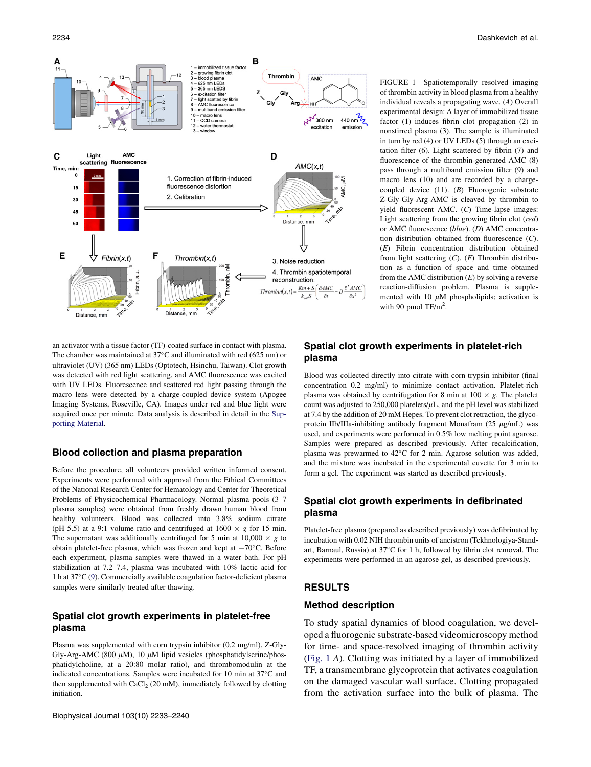<span id="page-1-0"></span>

FIGURE 1 Spatiotemporally resolved imaging of thrombin activity in blood plasma from a healthy individual reveals a propagating wave. (A) Overall experimental design: A layer of immobilized tissue factor (1) induces fibrin clot propagation (2) in nonstirred plasma (3). The sample is illuminated in turn by red (4) or UV LEDs (5) through an excitation filter (6). Light scattered by fibrin (7) and fluorescence of the thrombin-generated AMC (8) pass through a multiband emission filter (9) and macro lens (10) and are recorded by a chargecoupled device (11). (B) Fluorogenic substrate Z-Gly-Gly-Arg-AMC is cleaved by thrombin to yield fluorescent AMC. (C) Time-lapse images: Light scattering from the growing fibrin clot (red) or AMC fluorescence (blue). (D) AMC concentration distribution obtained from fluorescence (C). (E) Fibrin concentration distribution obtained from light scattering  $(C)$ .  $(F)$  Thrombin distribution as a function of space and time obtained from the AMC distribution  $(E)$  by solving a reverse reaction-diffusion problem. Plasma is supplemented with 10  $\mu$ M phospholipids; activation is with 90 pmol  $TF/m<sup>2</sup>$ .

an activator with a tissue factor (TF)-coated surface in contact with plasma. The chamber was maintained at  $37^{\circ}$ C and illuminated with red (625 nm) or ultraviolet (UV) (365 nm) LEDs (Optotech, Hsinchu, Taiwan). Clot growth was detected with red light scattering, and AMC fluorescence was excited with UV LEDs. Fluorescence and scattered red light passing through the macro lens were detected by a charge-coupled device system (Apogee Imaging Systems, Roseville, CA). Images under red and blue light were acquired once per minute. Data analysis is described in detail in the [Sup](#page-5-0)[porting Material.](#page-5-0)

### Blood collection and plasma preparation

Before the procedure, all volunteers provided written informed consent. Experiments were performed with approval from the Ethical Committees of the National Research Center for Hematology and Center for Theoretical Problems of Physicochemical Pharmacology. Normal plasma pools (3–7 plasma samples) were obtained from freshly drawn human blood from healthy volunteers. Blood was collected into 3.8% sodium citrate (pH 5.5) at a 9:1 volume ratio and centrifuged at  $1600 \times g$  for 15 min. The supernatant was additionally centrifuged for 5 min at  $10,000 \times g$  to obtain platelet-free plasma, which was frozen and kept at  $-70^{\circ}$ C. Before each experiment, plasma samples were thawed in a water bath. For pH stabilization at 7.2–7.4, plasma was incubated with 10% lactic acid for 1 h at 37°C ([9\)](#page-6-0). Commercially available coagulation factor-deficient plasma samples were similarly treated after thawing.

# Spatial clot growth experiments in platelet-free plasma

Plasma was supplemented with corn trypsin inhibitor (0.2 mg/ml), Z-Gly-Gly-Arg-AMC (800  $\mu$ M), 10  $\mu$ M lipid vesicles (phosphatidylserine/phosphatidylcholine, at a 20:80 molar ratio), and thrombomodulin at the indicated concentrations. Samples were incubated for 10 min at  $37^{\circ}$ C and then supplemented with  $CaCl<sub>2</sub>$  (20 mM), immediately followed by clotting initiation.

# Spatial clot growth experiments in platelet-rich plasma

Blood was collected directly into citrate with corn trypsin inhibitor (final concentration 0.2 mg/ml) to minimize contact activation. Platelet-rich plasma was obtained by centrifugation for 8 min at  $100 \times g$ . The platelet count was adjusted to  $250,000$  platelets/ $\mu$ L, and the pH level was stabilized at 7.4 by the addition of 20 mM Hepes. To prevent clot retraction, the glycoprotein IIb/IIIa-inhibiting antibody fragment Monafram  $(25 \mu g/mL)$  was used, and experiments were performed in 0.5% low melting point agarose. Samples were prepared as described previously. After recalcification, plasma was prewarmed to  $42^{\circ}$ C for 2 min. Agarose solution was added, and the mixture was incubated in the experimental cuvette for 3 min to form a gel. The experiment was started as described previously.

# Spatial clot growth experiments in defibrinated plasma

Platelet-free plasma (prepared as described previously) was defibrinated by incubation with 0.02 NIH thrombin units of ancistron (Tekhnologiya-Standart, Barnaul, Russia) at 37°C for 1 h, followed by fibrin clot removal. The experiments were performed in an agarose gel, as described previously.

#### RESULTS

#### Method description

To study spatial dynamics of blood coagulation, we developed a fluorogenic substrate-based videomicroscopy method for time- and space-resolved imaging of thrombin activity (Fig. 1 A). Clotting was initiated by a layer of immobilized TF, a transmembrane glycoprotein that activates coagulation on the damaged vascular wall surface. Clotting propagated from the activation surface into the bulk of plasma. The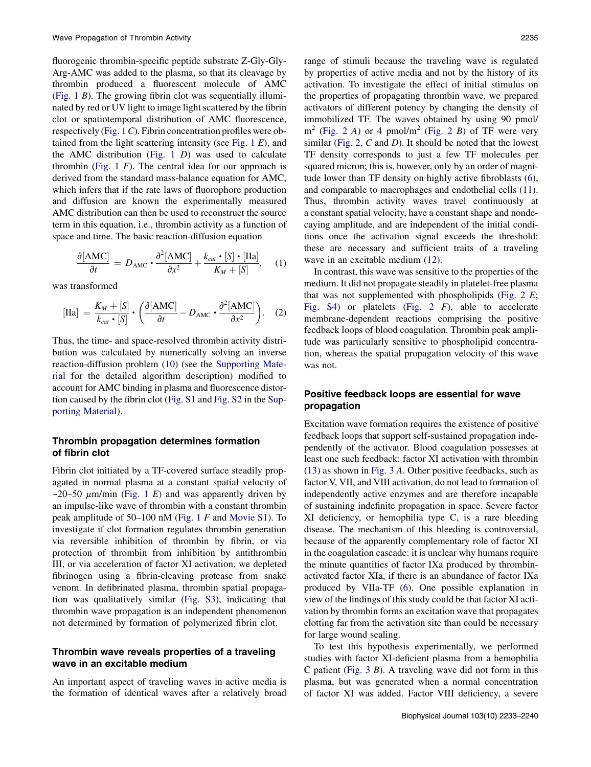fluorogenic thrombin-specific peptide substrate Z-Gly-Gly-Arg-AMC was added to the plasma, so that its cleavage by thrombin produced a fluorescent molecule of AMC (Fig.  $1 B$ ). The growing fibrin clot was sequentially illuminated by red or UV light to image light scattered by the fibrin clot or spatiotemporal distribution of AMC fluorescence, respectively [\(Fig. 1](#page-1-0)C). Fibrin concentration profiles were obtained from the light scattering intensity (see Fig.  $1 E$ ), and the AMC distribution [\(Fig. 1](#page-1-0)  $D$ ) was used to calculate thrombin [\(Fig. 1](#page-1-0)  $F$ ). The central idea for our approach is derived from the standard mass-balance equation for AMC, which infers that if the rate laws of fluorophore production and diffusion are known the experimentally measured AMC distribution can then be used to reconstruct the source term in this equation, i.e., thrombin activity as a function of space and time. The basic reaction-diffusion equation

$$
\frac{\partial[\text{AMC}]}{\partial t} = D_{\text{AMC}} \cdot \frac{\partial^2[\text{AMC}]}{\partial x^2} + \frac{k_{cat} \cdot [S] \cdot [\text{IIa}]}{K_M + [S]}, \quad (1)
$$

was transformed

$$
\text{[IIA]} = \frac{K_M + [S]}{k_{cat} \cdot [S]} \cdot \left( \frac{\partial [\text{AMC}]}{\partial t} - D_{\text{AMC}} \cdot \frac{\partial^2 [\text{AMC}]}{\partial x^2} \right). \quad (2)
$$

Thus, the time- and space-resolved thrombin activity distribution was calculated by numerically solving an inverse reaction-diffusion problem ([10\)](#page-6-0) (see the [Supporting Mate](#page-5-0)[rial](#page-5-0) for the detailed algorithm description) modified to account for AMC binding in plasma and fluorescence distortion caused by the fibrin clot [\(Fig. S1](#page-5-0) and [Fig. S2](#page-5-0) in the [Sup](#page-5-0)[porting Material](#page-5-0)).

# Thrombin propagation determines formation of fibrin clot

Fibrin clot initiated by a TF-covered surface steadily propagated in normal plasma at a constant spatial velocity of ~20–50  $\mu$ m/min [\(Fig. 1](#page-1-0) E) and was apparently driven by an impulse-like wave of thrombin with a constant thrombin peak amplitude of 50–100 nM ([Fig. 1](#page-1-0) F and Movie S1). To investigate if clot formation regulates thrombin generation via reversible inhibition of thrombin by fibrin, or via protection of thrombin from inhibition by antithrombin III, or via acceleration of factor XI activation, we depleted fibrinogen using a fibrin-cleaving protease from snake venom. In defibrinated plasma, thrombin spatial propagation was qualitatively similar [\(Fig. S3](#page-5-0)), indicating that thrombin wave propagation is an independent phenomenon not determined by formation of polymerized fibrin clot.

# Thrombin wave reveals properties of a traveling wave in an excitable medium

An important aspect of traveling waves in active media is the formation of identical waves after a relatively broad range of stimuli because the traveling wave is regulated by properties of active media and not by the history of its activation. To investigate the effect of initial stimulus on the properties of propagating thrombin wave, we prepared activators of different potency by changing the density of immobilized TF. The waves obtained by using 90 pmol/  $m<sup>2</sup>$  ([Fig. 2](#page-3-0) A) or 4 pmol/m<sup>2</sup> (Fig. 2 B) of TF were very similar [\(Fig. 2,](#page-3-0)  $C$  and  $D$ ). It should be noted that the lowest TF density corresponds to just a few TF molecules per squared micron; this is, however, only by an order of magnitude lower than TF density on highly active fibroblasts ([6\)](#page-6-0), and comparable to macrophages and endothelial cells ([11\)](#page-6-0). Thus, thrombin activity waves travel continuously at a constant spatial velocity, have a constant shape and nondecaying amplitude, and are independent of the initial conditions once the activation signal exceeds the threshold: these are necessary and sufficient traits of a traveling wave in an excitable medium ([12\)](#page-6-0).

In contrast, this wave was sensitive to the properties of the medium. It did not propagate steadily in platelet-free plasma that was not supplemented with phospholipids (Fig.  $2 E$ ; [Fig. S4](#page-5-0)) or platelets (Fig.  $2$  F), able to accelerate membrane-dependent reactions comprising the positive feedback loops of blood coagulation. Thrombin peak amplitude was particularly sensitive to phospholipid concentration, whereas the spatial propagation velocity of this wave was not.

### Positive feedback loops are essential for wave propagation

Excitation wave formation requires the existence of positive feedback loops that support self-sustained propagation independently of the activator. Blood coagulation possesses at least one such feedback: factor XI activation with thrombin ([13\)](#page-6-0) as shown in [Fig. 3](#page-4-0) A. Other positive feedbacks, such as factor V, VII, and VIII activation, do not lead to formation of independently active enzymes and are therefore incapable of sustaining indefinite propagation in space. Severe factor XI deficiency, or hemophilia type C, is a rare bleeding disease. The mechanism of this bleeding is controversial, because of the apparently complementary role of factor XI in the coagulation cascade: it is unclear why humans require the minute quantities of factor IXa produced by thrombinactivated factor XIa, if there is an abundance of factor IXa produced by VIIa-TF ([6\)](#page-6-0). One possible explanation in view of the findings of this study could be that factor XI activation by thrombin forms an excitation wave that propagates clotting far from the activation site than could be necessary for large wound sealing.

To test this hypothesis experimentally, we performed studies with factor XI-deficient plasma from a hemophilia C patient (Fig.  $3 B$ ). A traveling wave did not form in this plasma, but was generated when a normal concentration of factor XI was added. Factor VIII deficiency, a severe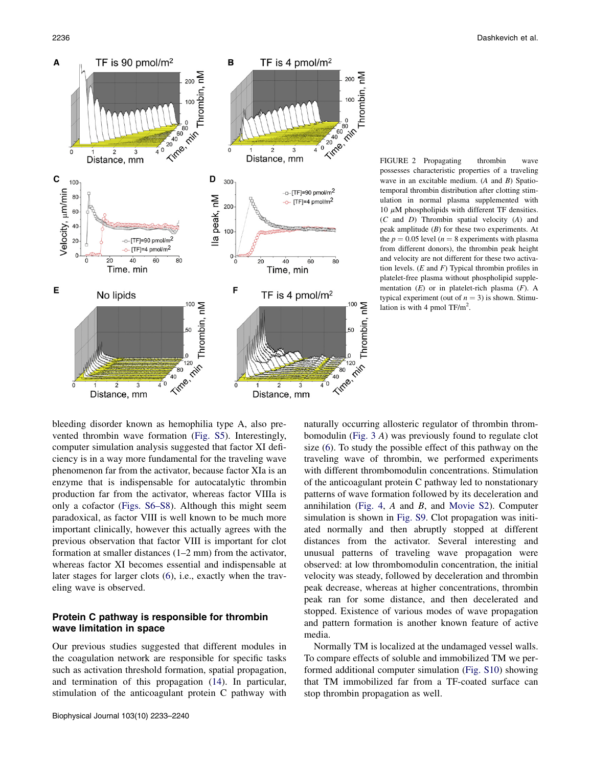<span id="page-3-0"></span>

FIGURE 2 Propagating thrombin wave possesses characteristic properties of a traveling wave in an excitable medium. (A and B) Spatiotemporal thrombin distribution after clotting stimulation in normal plasma supplemented with 10  $\mu$ M phospholipids with different TF densities. (C and D) Thrombin spatial velocity (A) and peak amplitude  $(B)$  for these two experiments. At the  $p = 0.05$  level ( $n = 8$  experiments with plasma from different donors), the thrombin peak height and velocity are not different for these two activation levels.  $(E \text{ and } F)$  Typical thrombin profiles in platelet-free plasma without phospholipid supplementation  $(E)$  or in platelet-rich plasma  $(F)$ . A typical experiment (out of  $n = 3$ ) is shown. Stimulation is with 4 pmol  $TF/m^2$ .

bleeding disorder known as hemophilia type A, also prevented thrombin wave formation ([Fig. S5\)](#page-5-0). Interestingly, computer simulation analysis suggested that factor XI deficiency is in a way more fundamental for the traveling wave phenomenon far from the activator, because factor XIa is an enzyme that is indispensable for autocatalytic thrombin production far from the activator, whereas factor VIIIa is only a cofactor [\(Figs. S6–S8](#page-5-0)). Although this might seem paradoxical, as factor VIII is well known to be much more important clinically, however this actually agrees with the previous observation that factor VIII is important for clot formation at smaller distances (1–2 mm) from the activator, whereas factor XI becomes essential and indispensable at later stages for larger clots [\(6](#page-6-0)), i.e., exactly when the traveling wave is observed.

# Protein C pathway is responsible for thrombin wave limitation in space

Our previous studies suggested that different modules in the coagulation network are responsible for specific tasks such as activation threshold formation, spatial propagation, and termination of this propagation [\(14](#page-6-0)). In particular, stimulation of the anticoagulant protein C pathway with naturally occurring allosteric regulator of thrombin thrombomodulin [\(Fig. 3](#page-4-0) A) was previously found to regulate clot size [\(6](#page-6-0)). To study the possible effect of this pathway on the traveling wave of thrombin, we performed experiments with different thrombomodulin concentrations. Stimulation of the anticoagulant protein C pathway led to nonstationary patterns of wave formation followed by its deceleration and annihilation [\(Fig. 4](#page-5-0), A and B, and Movie S2). Computer simulation is shown in [Fig. S9.](#page-5-0) Clot propagation was initiated normally and then abruptly stopped at different distances from the activator. Several interesting and unusual patterns of traveling wave propagation were observed: at low thrombomodulin concentration, the initial velocity was steady, followed by deceleration and thrombin peak decrease, whereas at higher concentrations, thrombin peak ran for some distance, and then decelerated and stopped. Existence of various modes of wave propagation and pattern formation is another known feature of active media.

Normally TM is localized at the undamaged vessel walls. To compare effects of soluble and immobilized TM we performed additional computer simulation [\(Fig. S10\)](#page-5-0) showing that TM immobilized far from a TF-coated surface can stop thrombin propagation as well.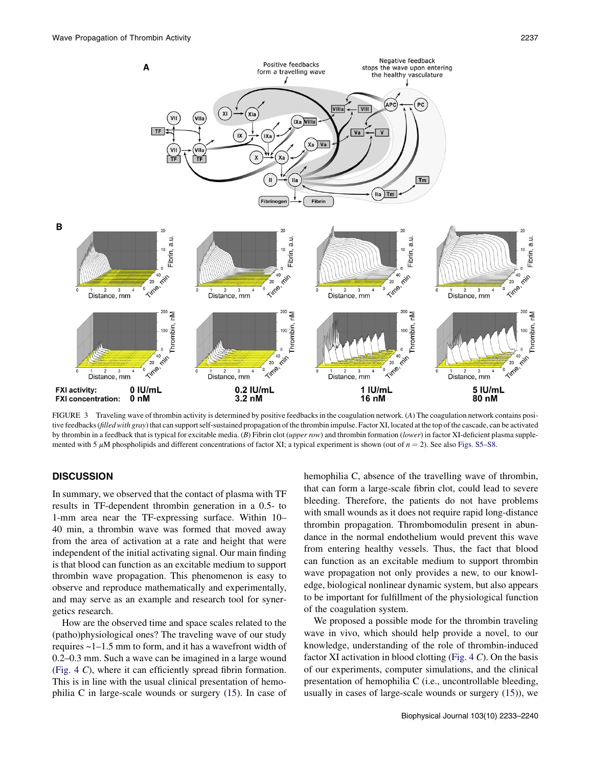<span id="page-4-0"></span>

FIGURE 3 Traveling wave of thrombin activity is determined by positive feedbacks in the coagulation network. (A) The coagulation network contains positive feedbacks (filled with gray) that can support self-sustained propagation of the thrombin impulse. Factor XI, located at the top of the cascade, can be activated by thrombin in a feedback that is typical for excitable media. (B) Fibrin clot (upper row) and thrombin formation (lower) in factor XI-deficient plasma supplemented with 5  $\mu$ M phospholipids and different concentrations of factor XI; a typical experiment is shown (out of  $n = 2$ ). See also [Figs. S5–S8](#page-5-0).

### **DISCUSSION**

In summary, we observed that the contact of plasma with TF results in TF-dependent thrombin generation in a 0.5- to 1-mm area near the TF-expressing surface. Within 10– 40 min, a thrombin wave was formed that moved away from the area of activation at a rate and height that were independent of the initial activating signal. Our main finding is that blood can function as an excitable medium to support thrombin wave propagation. This phenomenon is easy to observe and reproduce mathematically and experimentally, and may serve as an example and research tool for synergetics research.

How are the observed time and space scales related to the (patho)physiological ones? The traveling wave of our study requires  $\sim$  1–1.5 mm to form, and it has a wavefront width of 0.2–0.3 mm. Such a wave can be imagined in a large wound ([Fig. 4](#page-5-0) C), where it can efficiently spread fibrin formation. This is in line with the usual clinical presentation of hemophilia C in large-scale wounds or surgery ([15\)](#page-6-0). In case of hemophilia C, absence of the travelling wave of thrombin, that can form a large-scale fibrin clot, could lead to severe bleeding. Therefore, the patients do not have problems with small wounds as it does not require rapid long-distance thrombin propagation. Thrombomodulin present in abundance in the normal endothelium would prevent this wave from entering healthy vessels. Thus, the fact that blood can function as an excitable medium to support thrombin wave propagation not only provides a new, to our knowledge, biological nonlinear dynamic system, but also appears to be important for fulfillment of the physiological function of the coagulation system.

We proposed a possible mode for the thrombin traveling wave in vivo, which should help provide a novel, to our knowledge, understanding of the role of thrombin-induced factor XI activation in blood clotting [\(Fig. 4](#page-5-0) C). On the basis of our experiments, computer simulations, and the clinical presentation of hemophilia C (i.e., uncontrollable bleeding, usually in cases of large-scale wounds or surgery ([15\)](#page-6-0)), we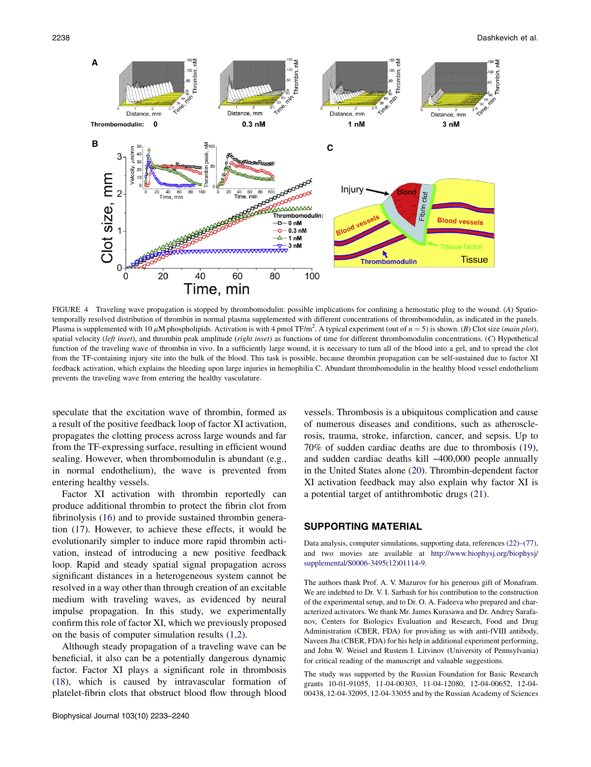<span id="page-5-0"></span>

FIGURE 4 Traveling wave propagation is stopped by thrombomodulin: possible implications for confining a hemostatic plug to the wound. (A) Spatiotemporally resolved distribution of thrombin in normal plasma supplemented with different concentrations of thrombomodulin, as indicated in the panels. Plasma is supplemented with 10  $\mu$ M phospholipids. Activation is with 4 pmol TF/m<sup>2</sup>. A typical experiment (out of  $n = 5$ ) is shown. (*B*) Clot size (*main plot*), spatial velocity (left inset), and thrombin peak amplitude (right inset) as functions of time for different thrombomodulin concentrations. (C) Hypothetical function of the traveling wave of thrombin in vivo. In a sufficiently large wound, it is necessary to turn all of the blood into a gel, and to spread the clot from the TF-containing injury site into the bulk of the blood. This task is possible, because thrombin propagation can be self-sustained due to factor XI feedback activation, which explains the bleeding upon large injuries in hemophilia C. Abundant thrombomodulin in the healthy blood vessel endothelium prevents the traveling wave from entering the healthy vasculature.

speculate that the excitation wave of thrombin, formed as a result of the positive feedback loop of factor XI activation, propagates the clotting process across large wounds and far from the TF-expressing surface, resulting in efficient wound sealing. However, when thrombomodulin is abundant (e.g., in normal endothelium), the wave is prevented from entering healthy vessels.

Factor XI activation with thrombin reportedly can produce additional thrombin to protect the fibrin clot from fibrinolysis ([16\)](#page-6-0) and to provide sustained thrombin generation ([17\)](#page-6-0). However, to achieve these effects, it would be evolutionarily simpler to induce more rapid thrombin activation, instead of introducing a new positive feedback loop. Rapid and steady spatial signal propagation across significant distances in a heterogeneous system cannot be resolved in a way other than through creation of an excitable medium with traveling waves, as evidenced by neural impulse propagation. In this study, we experimentally confirm this role of factor XI, which we previously proposed on the basis of computer simulation results [\(1,2\)](#page-6-0).

Although steady propagation of a traveling wave can be beneficial, it also can be a potentially dangerous dynamic factor. Factor XI plays a significant role in thrombosis ([18\)](#page-6-0), which is caused by intravascular formation of platelet-fibrin clots that obstruct blood flow through blood vessels. Thrombosis is a ubiquitous complication and cause of numerous diseases and conditions, such as atherosclerosis, trauma, stroke, infarction, cancer, and sepsis. Up to 70% of sudden cardiac deaths are due to thrombosis ([19\)](#page-6-0), and sudden cardiac deaths kill ~400,000 people annually in the United States alone [\(20](#page-6-0)). Thrombin-dependent factor XI activation feedback may also explain why factor XI is a potential target of antithrombotic drugs ([21\)](#page-6-0).

# SUPPORTING MATERIAL

Data analysis, computer simulations, supporting data, references [\(22\)–\(77\),](#page-6-0) and two movies are available at [http://www.biophysj.org/biophysj/](http://www.biophysj.org/biophysj/supplemental/S0006-3495(12)01114-9) [supplemental/S0006-3495\(12\)01114-9.](http://www.biophysj.org/biophysj/supplemental/S0006-3495(12)01114-9)

The authors thank Prof. A. V. Mazurov for his generous gift of Monafram. We are indebted to Dr. V. I. Sarbash for his contribution to the construction of the experimental setup, and to Dr. O. A. Fadeeva who prepared and characterized activators. We thank Mr. James Kurasawa and Dr. Andrey Sarafanov, Centers for Biologics Evaluation and Research, Food and Drug Administration (CBER, FDA) for providing us with anti-fVIII antibody, Naveen Jha (CBER, FDA) for his help in additional experiment performing, and John W. Weisel and Rustem I. Litvinov (University of Pennsylvania) for critical reading of the manuscript and valuable suggestions.

The study was supported by the Russian Foundation for Basic Research grants 10-01-91055, 11-04-00303, 11-04-12080, 12-04-00652, 12-04- 00438, 12-04-32095, 12-04-33055 and by the Russian Academy of Sciences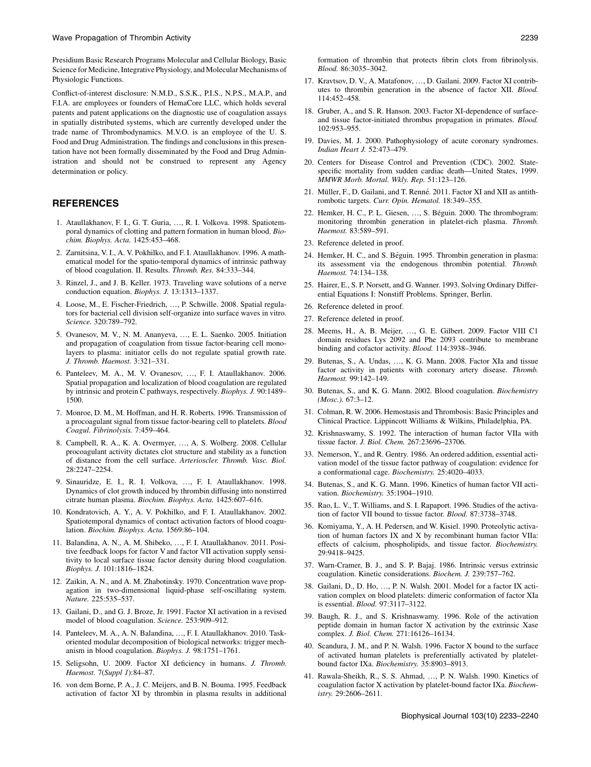<span id="page-6-0"></span>Presidium Basic Research Programs Molecular and Cellular Biology, Basic Science for Medicine, Integrative Physiology, and Molecular Mechanisms of Physiologic Functions.

Conflict-of-interest disclosure: N.M.D., S.S.K., P.I.S., N.P.S., M.A.P., and F.I.A. are employees or founders of HemaCore LLC, which holds several patents and patent applications on the diagnostic use of coagulation assays in spatially distributed systems, which are currently developed under the trade name of Thrombodynamics. M.V.O. is an employee of the U. S. Food and Drug Administration. The findings and conclusions in this presentation have not been formally disseminated by the Food and Drug Administration and should not be construed to represent any Agency determination or policy.

# **REFERENCES**

- 1. Ataullakhanov, F. I., G. T. Guria, ., R. I. Volkova. 1998. Spatiotemporal dynamics of clotting and pattern formation in human blood. Biochim. Biophys. Acta. 1425:453–468.
- 2. Zarnitsina, V. I., A. V. Pokhilko, and F. I. Ataullakhanov. 1996. A mathematical model for the spatio-temporal dynamics of intrinsic pathway of blood coagulation. II. Results. Thromb. Res. 84:333–344.
- 3. Rinzel, J., and J. B. Keller. 1973. Traveling wave solutions of a nerve conduction equation. Biophys. J. 13:1313–1337.
- 4. Loose, M., E. Fischer-Friedrich, ..., P. Schwille. 2008. Spatial regulators for bacterial cell division self-organize into surface waves in vitro. Science. 320:789–792.
- 5. Ovanesov, M. V., N. M. Ananyeva, ..., E. L. Saenko. 2005. Initiation and propagation of coagulation from tissue factor-bearing cell monolayers to plasma: initiator cells do not regulate spatial growth rate. J. Thromb. Haemost. 3:321–331.
- 6. Panteleev, M. A., M. V. Ovanesov, ., F. I. Ataullakhanov. 2006. Spatial propagation and localization of blood coagulation are regulated by intrinsic and protein C pathways, respectively. Biophys. J. 90:1489– 1500.
- 7. Monroe, D. M., M. Hoffman, and H. R. Roberts. 1996. Transmission of a procoagulant signal from tissue factor-bearing cell to platelets. Blood Coagul. Fibrinolysis. 7:459–464.
- 8. Campbell, R. A., K. A. Overmyer, ..., A. S. Wolberg. 2008. Cellular procoagulant activity dictates clot structure and stability as a function of distance from the cell surface. Arterioscler. Thromb. Vasc. Biol. 28:2247–2254.
- 9. Sinauridze, E. I., R. I. Volkova, ..., F. I. Ataullakhanov. 1998. Dynamics of clot growth induced by thrombin diffusing into nonstirred citrate human plasma. Biochim. Biophys. Acta. 1425:607–616.
- 10. Kondratovich, A. Y., A. V. Pokhilko, and F. I. Ataullakhanov. 2002. Spatiotemporal dynamics of contact activation factors of blood coagulation. Biochim. Biophys. Acta. 1569:86–104.
- 11. Balandina, A. N., A. M. Shibeko, ..., F. I. Ataullakhanov. 2011. Positive feedback loops for factor V and factor VII activation supply sensitivity to local surface tissue factor density during blood coagulation. Biophys. J. 101:1816–1824.
- 12. Zaikin, A. N., and A. M. Zhabotinsky. 1970. Concentration wave propagation in two-dimensional liquid-phase self-oscillating system. Nature. 225:535–537.
- 13. Gailani, D., and G. J. Broze, Jr. 1991. Factor XI activation in a revised model of blood coagulation. Science. 253:909–912.
- 14. Panteleev, M. A., A. N. Balandina, ..., F. I. Ataullakhanov. 2010. Taskoriented modular decomposition of biological networks: trigger mechanism in blood coagulation. Biophys. J. 98:1751–1761.
- 15. Seligsohn, U. 2009. Factor XI deficiency in humans. J. Thromb. Haemost. 7(Suppl 1):84–87.
- 16. von dem Borne, P. A., J. C. Meijers, and B. N. Bouma. 1995. Feedback activation of factor XI by thrombin in plasma results in additional

formation of thrombin that protects fibrin clots from fibrinolysis. Blood. 86:3035–3042.

- 17. Kravtsov, D. V., A. Matafonov, ., D. Gailani. 2009. Factor XI contributes to thrombin generation in the absence of factor XII. Blood. 114:452–458.
- 18. Gruber, A., and S. R. Hanson. 2003. Factor XI-dependence of surfaceand tissue factor-initiated thrombus propagation in primates. Blood. 102:953–955.
- 19. Davies, M. J. 2000. Pathophysiology of acute coronary syndromes. Indian Heart J. 52:473–479.
- 20. Centers for Disease Control and Prevention (CDC). 2002. Statespecific mortality from sudden cardiac death—United States, 1999. MMWR Morb. Mortal. Wkly. Rep. 51:123–126.
- 21. Müller, F., D. Gailani, and T. Renné. 2011. Factor XI and XII as antithrombotic targets. Curr. Opin. Hematol. 18:349–355.
- 22. Hemker, H. C., P. L. Giesen, ..., S. Béguin. 2000. The thrombogram: monitoring thrombin generation in platelet-rich plasma. Thromb. Haemost. 83:589–591.
- 23. Reference deleted in proof.
- 24. Hemker, H. C., and S. Béguin. 1995. Thrombin generation in plasma: its assessment via the endogenous thrombin potential. Thromb. Haemost. 74:134–138.
- 25. Hairer, E., S. P. Norsett, and G. Wanner. 1993. Solving Ordinary Differential Equations I: Nonstiff Problems. Springer, Berlin.
- 26. Reference deleted in proof.
- 27. Reference deleted in proof.
- 28. Meems, H., A. B. Meijer, ..., G. E. Gilbert. 2009. Factor VIII C1 domain residues Lys 2092 and Phe 2093 contribute to membrane binding and cofactor activity. Blood. 114:3938–3946.
- 29. Butenas, S., A. Undas, ..., K. G. Mann. 2008. Factor XIa and tissue factor activity in patients with coronary artery disease. Thromb. Haemost. 99:142–149.
- 30. Butenas, S., and K. G. Mann. 2002. Blood coagulation. Biochemistry (Mosc.). 67:3–12.
- 31. Colman, R. W. 2006. Hemostasis and Thrombosis: Basic Principles and Clinical Practice. Lippincott Williams & Wilkins, Philadelphia, PA.
- 32. Krishnaswamy, S. 1992. The interaction of human factor VIIa with tissue factor. J. Biol. Chem. 267:23696–23706.
- 33. Nemerson, Y., and R. Gentry. 1986. An ordered addition, essential activation model of the tissue factor pathway of coagulation: evidence for a conformational cage. Biochemistry. 25:4020–4033.
- 34. Butenas, S., and K. G. Mann. 1996. Kinetics of human factor VII activation. Biochemistry. 35:1904–1910.
- 35. Rao, L. V., T. Williams, and S. I. Rapaport. 1996. Studies of the activation of factor VII bound to tissue factor. Blood. 87:3738–3748.
- 36. Komiyama, Y., A. H. Pedersen, and W. Kisiel. 1990. Proteolytic activation of human factors IX and X by recombinant human factor VIIa: effects of calcium, phospholipids, and tissue factor. Biochemistry. 29:9418–9425.
- 37. Warn-Cramer, B. J., and S. P. Bajaj. 1986. Intrinsic versus extrinsic coagulation. Kinetic considerations. Biochem. J. 239:757–762.
- 38. Gailani, D., D. Ho, ., P. N. Walsh. 2001. Model for a factor IX activation complex on blood platelets: dimeric conformation of factor XIa is essential. Blood. 97:3117–3122.
- 39. Baugh, R. J., and S. Krishnaswamy. 1996. Role of the activation peptide domain in human factor X activation by the extrinsic Xase complex. J. Biol. Chem. 271:16126–16134.
- 40. Scandura, J. M., and P. N. Walsh. 1996. Factor X bound to the surface of activated human platelets is preferentially activated by plateletbound factor IXa. Biochemistry. 35:8903–8913.
- 41. Rawala-Sheikh, R., S. S. Ahmad, ., P. N. Walsh. 1990. Kinetics of coagulation factor X activation by platelet-bound factor IXa. Biochemistry. 29:2606–2611.